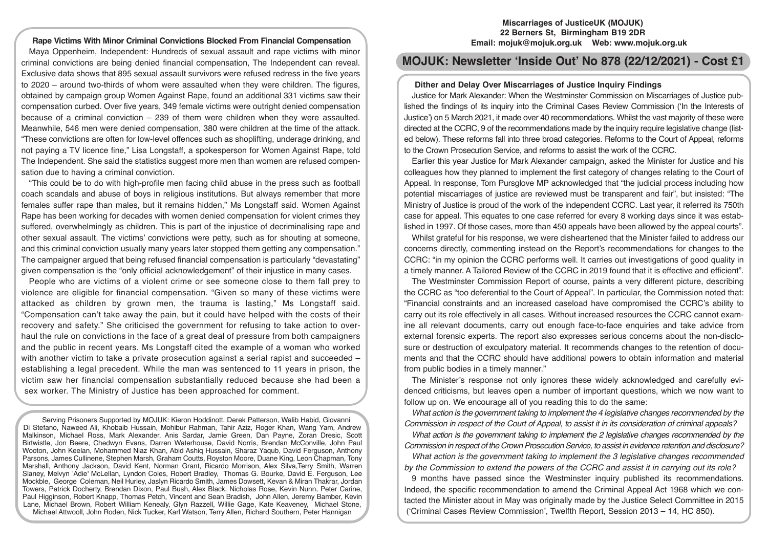#### **Rape Victims With Minor Criminal Convictions Blocked From Financial Compensation**

Maya Oppenheim, Independent: Hundreds of sexual assault and rape victims with minor criminal convictions are being denied financial compensation, The Independent can reveal. Exclusive data shows that 895 sexual assault survivors were refused redress in the five years to 2020 – around two-thirds of whom were assaulted when they were children. The figures, obtained by campaign group Women Against Rape, found an additional 331 victims saw their compensation curbed. Over five years, 349 female victims were outright denied compensation because of a criminal conviction  $-239$  of them were children when they were assaulted. Meanwhile, 546 men were denied compensation, 380 were children at the time of the attack. "These convictions are often for low-level offences such as shoplifting, underage drinking, and not paying a TV licence fine," Lisa Longstaff, a spokesperson for Women Against Rape, told The Independent. She said the statistics suggest more men than women are refused compensation due to having a criminal conviction.

"This could be to do with high-profile men facing child abuse in the press such as football coach scandals and abuse of boys in religious institutions. But always remember that more females suffer rape than males, but it remains hidden," Ms Longstaff said. Women Against Rape has been working for decades with women denied compensation for violent crimes they suffered, overwhelmingly as children. This is part of the injustice of decriminalising rape and other sexual assault. The victims' convictions were petty, such as for shouting at someone, and this criminal conviction usually many years later stopped them getting any compensation." The campaigner argued that being refused financial compensation is particularly "devastating" given compensation is the "only official acknowledgement" of their injustice in many cases.

People who are victims of a violent crime or see someone close to them fall prey to violence are eligible for financial compensation. "Given so many of these victims were attacked as children by grown men, the trauma is lasting," Ms Longstaff said. "Compensation can't take away the pain, but it could have helped with the costs of their recovery and safety." She criticised the government for refusing to take action to overhaul the rule on convictions in the face of a great deal of pressure from both campaigners and the public in recent years. Ms Longstaff cited the example of a woman who worked with another victim to take a private prosecution against a serial rapist and succeeded – establishing a legal precedent. While the man was sentenced to 11 years in prison, the victim saw her financial compensation substantially reduced because she had been a sex worker. The Ministry of Justice has been approached for comment.

Serving Prisoners Supported by MOJUK: Kieron Hoddinott, Derek Patterson, Walib Habid, Giovanni Di Stefano, Naweed Ali, Khobaib Hussain, Mohibur Rahman, Tahir Aziz, Roger Khan, Wang Yam, Andrew Malkinson, Michael Ross, Mark Alexander, Anis Sardar, Jamie Green, Dan Payne, Zoran Dresic, Scott Birtwistle, Jon Beere, Chedwyn Evans, Darren Waterhouse, David Norris, Brendan McConville, John Paul Wooton, John Keelan, Mohammed Niaz Khan, Abid Ashiq Hussain, Sharaz Yaqub, David Ferguson, Anthony Parsons, James Cullinene, Stephen Marsh, Graham Coutts, Royston Moore, Duane King, Leon Chapman, Tony Marshall, Anthony Jackson, David Kent, Norman Grant, Ricardo Morrison, Alex Silva,Terry Smith, Warren Slaney, Melvyn 'Adie' McLellan, Lyndon Coles, Robert Bradley, Thomas G. Bourke, David E. Ferguson, Lee Mockble, George Coleman, Neil Hurley, Jaslyn Ricardo Smith, James Dowsett, Kevan & Miran Thakrar, Jordan Towers, Patrick Docherty, Brendan Dixon, Paul Bush, Alex Black, Nicholas Rose, Kevin Nunn, Peter Carine, Paul Higginson, Robert Knapp, Thomas Petch, Vincent and Sean Bradish, John Allen, Jeremy Bamber, Kevin Lane, Michael Brown, Robert William Kenealy, Glyn Razzell, Willie Gage, Kate Keaveney, Michael Stone, Michael Attwooll, John Roden, Nick Tucker, Karl Watson, Terry Allen, Richard Southern, Peter Hannigan

### **Miscarriages of JusticeUK (MOJUK) 22 Berners St, Birmingham B19 2DR Email: mojuk@mojuk.org.uk Web: www.mojuk.org.uk**

# **MOJUK: Newsletter 'Inside Out' No 878 (22/12/2021) - Cost £1**

#### **Dither and Delay Over Miscarriages of Justice Inquiry Findings**

Justice for Mark Alexander: When the Westminster Commission on Miscarriages of Justice published the findings of its inquiry into the Criminal Cases Review Commission ('In the Interests of Justice') on 5 March 2021, it made over 40 recommendations. Whilst the vast majority of these were directed at the CCRC, 9 of the recommendations made by the inquiry require legislative change (listed below). These reforms fall into three broad categories. Reforms to the Court of Appeal, reforms to the Crown Prosecution Service, and reforms to assist the work of the CCRC.

Earlier this year Justice for Mark Alexander campaign, asked the Minister for Justice and his colleagues how they planned to implement the first category of changes relating to the Court of Appeal. In response, Tom Pursglove MP acknowledged that "the judicial process including how potential miscarriages of justice are reviewed must be transparent and fair", but insisted: "The Ministry of Justice is proud of the work of the independent CCRC. Last year, it referred its 750th case for appeal. This equates to one case referred for every 8 working days since it was established in 1997. Of those cases, more than 450 appeals have been allowed by the appeal courts".

Whilst grateful for his response, we were disheartened that the Minister failed to address our concerns directly, commenting instead on the Report's recommendations for changes to the CCRC: "in my opinion the CCRC performs well. It carries out investigations of good quality in a timely manner. A Tailored Review of the CCRC in 2019 found that it is effective and efficient".

The Westminster Commission Report of course, paints a very different picture, describing the CCRC as "too deferential to the Court of Appeal". In particular, the Commission noted that: "Financial constraints and an increased caseload have compromised the CCRC's ability to carry out its role effectively in all cases. Without increased resources the CCRC cannot examine all relevant documents, carry out enough face-to-face enquiries and take advice from external forensic experts. The report also expresses serious concerns about the non-disclosure or destruction of exculpatory material. It recommends changes to the retention of documents and that the CCRC should have additional powers to obtain information and material from public bodies in a timely manner."

The Minister's response not only ignores these widely acknowledged and carefully evidenced criticisms, but leaves open a number of important questions, which we now want to follow up on. We encourage all of you reading this to do the same:

*What action is the government taking to implement the 4 legislative changes recommended by the Commission in respect of the Court of Appeal, to assist it in its consideration of criminal appeals?* 

*What action is the government taking to implement the 2 legislative changes recommended by the Commission in respect of the Crown Prosecution Service, to assist in evidence retention and disclosure?* 

*What action is the government taking to implement the 3 legislative changes recommended by the Commission to extend the powers of the CCRC and assist it in carrying out its role?* 

9 months have passed since the Westminster inquiry published its recommendations. Indeed, the specific recommendation to amend the Criminal Appeal Act 1968 which we contacted the Minister about in May was originally made by the Justice Select Committee in 2015 ('Criminal Cases Review Commission', Twelfth Report, Session 2013 – 14, HC 850).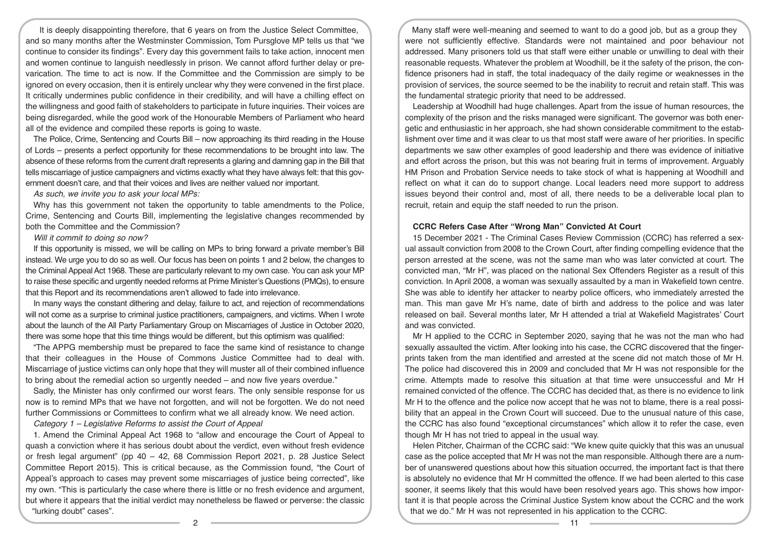It is deeply disappointing therefore, that 6 years on from the Justice Select Committee, and so many months after the Westminster Commission, Tom Pursglove MP tells us that "we continue to consider its findings". Every day this government fails to take action, innocent men and women continue to languish needlessly in prison. We cannot afford further delay or prevarication. The time to act is now. If the Committee and the Commission are simply to be ignored on every occasion, then it is entirely unclear why they were convened in the first place. It critically undermines public confidence in their credibility, and will have a chilling effect on the willingness and good faith of stakeholders to participate in future inquiries. Their voices are being disregarded, while the good work of the Honourable Members of Parliament who heard all of the evidence and compiled these reports is going to waste.

The Police, Crime, Sentencing and Courts Bill – now approaching its third reading in the House of Lords – presents a perfect opportunity for these recommendations to be brought into law. The absence of these reforms from the current draft represents a glaring and damning gap in the Bill that tells miscarriage of justice campaigners and victims exactly what they have always felt: that this government doesn't care, and that their voices and lives are neither valued nor important.

*As such, we invite you to ask your local MPs:* 

Why has this government not taken the opportunity to table amendments to the Police, Crime, Sentencing and Courts Bill, implementing the legislative changes recommended by both the Committee and the Commission?

*Will it commit to doing so now?* 

If this opportunity is missed, we will be calling on MPs to bring forward a private member's Bill instead. We urge you to do so as well. Our focus has been on points 1 and 2 below, the changes to the Criminal Appeal Act 1968. These are particularly relevant to my own case. You can ask your MP to raise these specific and urgently needed reforms at Prime Minister's Questions (PMQs), to ensure that this Report and its recommendations aren't allowed to fade into irrelevance.

In many ways the constant dithering and delay, failure to act, and rejection of recommendations will not come as a surprise to criminal justice practitioners, campaigners, and victims. When I wrote about the launch of the All Party Parliamentary Group on Miscarriages of Justice in October 2020, there was some hope that this time things would be different, but this optimism was qualified:

"The APPG membership must be prepared to face the same kind of resistance to change that their colleagues in the House of Commons Justice Committee had to deal with. Miscarriage of justice victims can only hope that they will muster all of their combined influence to bring about the remedial action so urgently needed – and now five years overdue."

Sadly, the Minister has only confirmed our worst fears. The only sensible response for us now is to remind MPs that we have not forgotten, and will not be forgotten. We do not need further Commissions or Committees to confirm what we all already know. We need action.

*Category 1 – Legislative Reforms to assist the Court of Appeal* 

1. Amend the Criminal Appeal Act 1968 to "allow and encourage the Court of Appeal to quash a conviction where it has serious doubt about the verdict, even without fresh evidence or fresh legal argument" (pp  $40 - 42$ , 68 Commission Report 2021, p. 28 Justice Select Committee Report 2015). This is critical because, as the Commission found, "the Court of Appeal's approach to cases may prevent some miscarriages of justice being corrected", like my own. "This is particularly the case where there is little or no fresh evidence and argument, but where it appears that the initial verdict may nonetheless be flawed or perverse: the classic "lurking doubt" cases".

Many staff were well-meaning and seemed to want to do a good job, but as a group they were not sufficiently effective. Standards were not maintained and poor behaviour not addressed. Many prisoners told us that staff were either unable or unwilling to deal with their reasonable requests. Whatever the problem at Woodhill, be it the safety of the prison, the confidence prisoners had in staff, the total inadequacy of the daily regime or weaknesses in the provision of services, the source seemed to be the inability to recruit and retain staff. This was the fundamental strategic priority that need to be addressed.

Leadership at Woodhill had huge challenges. Apart from the issue of human resources, the complexity of the prison and the risks managed were significant. The governor was both energetic and enthusiastic in her approach, she had shown considerable commitment to the establishment over time and it was clear to us that most staff were aware of her priorities. In specific departments we saw other examples of good leadership and there was evidence of initiative and effort across the prison, but this was not bearing fruit in terms of improvement. Arguably HM Prison and Probation Service needs to take stock of what is happening at Woodhill and reflect on what it can do to support change. Local leaders need more support to address issues beyond their control and, most of all, there needs to be a deliverable local plan to recruit, retain and equip the staff needed to run the prison.

#### **CCRC Refers Case After "Wrong Man" Convicted At Court**

15 December 2021 - The Criminal Cases Review Commission (CCRC) has referred a sexual assault conviction from 2008 to the Crown Court, after finding compelling evidence that the person arrested at the scene, was not the same man who was later convicted at court. The convicted man, "Mr H", was placed on the national Sex Offenders Register as a result of this conviction. In April 2008, a woman was sexually assaulted by a man in Wakefield town centre. She was able to identify her attacker to nearby police officers, who immediately arrested the man. This man gave Mr H's name, date of birth and address to the police and was later released on bail. Several months later, Mr H attended a trial at Wakefield Magistrates' Court and was convicted.

Mr H applied to the CCRC in September 2020, saying that he was not the man who had sexually assaulted the victim. After looking into his case, the CCRC discovered that the fingerprints taken from the man identified and arrested at the scene did not match those of Mr H. The police had discovered this in 2009 and concluded that Mr H was not responsible for the crime. Attempts made to resolve this situation at that time were unsuccessful and Mr H remained convicted of the offence. The CCRC has decided that, as there is no evidence to link Mr H to the offence and the police now accept that he was not to blame, there is a real possibility that an appeal in the Crown Court will succeed. Due to the unusual nature of this case, the CCRC has also found "exceptional circumstances" which allow it to refer the case, even though Mr H has not tried to appeal in the usual way.

Helen Pitcher, Chairman of the CCRC said: "We knew quite quickly that this was an unusual case as the police accepted that Mr H was not the man responsible. Although there are a number of unanswered questions about how this situation occurred, the important fact is that there is absolutely no evidence that Mr H committed the offence. If we had been alerted to this case sooner, it seems likely that this would have been resolved years ago. This shows how important it is that people across the Criminal Justice System know about the CCRC and the work that we do." Mr H was not represented in his application to the CCRC.

2 **11**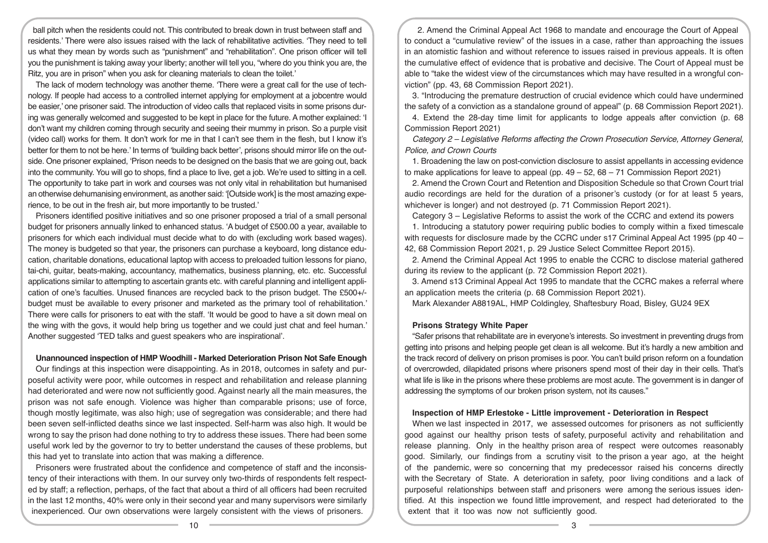ball pitch when the residents could not. This contributed to break down in trust between staff and residents.' There were also issues raised with the lack of rehabilitative activities. 'They need to tell us what they mean by words such as "punishment" and "rehabilitation". One prison officer will tell you the punishment is taking away your liberty; another will tell you, "where do you think you are, the Ritz, you are in prison" when you ask for cleaning materials to clean the toilet.'

The lack of modern technology was another theme. 'There were a great call for the use of technology. If people had access to a controlled internet applying for employment at a jobcentre would be easier,' one prisoner said. The introduction of video calls that replaced visits in some prisons during was generally welcomed and suggested to be kept in place for the future. A mother explained: 'I don't want my children coming through security and seeing their mummy in prison. So a purple visit (video call) works for them. It don't work for me in that I can't see them in the flesh, but I know it's better for them to not be here.' In terms of 'building back better', prisons should mirror life on the outside. One prisoner explained, 'Prison needs to be designed on the basis that we are going out, back into the community. You will go to shops, find a place to live, get a job. We're used to sitting in a cell. The opportunity to take part in work and courses was not only vital in rehabilitation but humanised an otherwise dehumanising environment, as another said: '[Outside work] is the most amazing experience, to be out in the fresh air, but more importantly to be trusted.'

Prisoners identified positive initiatives and so one prisoner proposed a trial of a small personal budget for prisoners annually linked to enhanced status. 'A budget of £500.00 a year, available to prisoners for which each individual must decide what to do with (excluding work based wages). The money is budgeted so that year, the prisoners can purchase a keyboard, long distance education, charitable donations, educational laptop with access to preloaded tuition lessons for piano, tai-chi, guitar, beats-making, accountancy, mathematics, business planning, etc. etc. Successful applications similar to attempting to ascertain grants etc. with careful planning and intelligent application of one's faculties. Unused finances are recycled back to the prison budget. The £500+/ budget must be available to every prisoner and marketed as the primary tool of rehabilitation.' There were calls for prisoners to eat with the staff. 'It would be good to have a sit down meal on the wing with the govs, it would help bring us together and we could just chat and feel human.' Another suggested 'TED talks and guest speakers who are inspirational'.

### **Unannounced inspection of HMP Woodhill - Marked Deterioration Prison Not Safe Enough**

Our findings at this inspection were disappointing. As in 2018, outcomes in safety and purposeful activity were poor, while outcomes in respect and rehabilitation and release planning had deteriorated and were now not sufficiently good. Against nearly all the main measures, the prison was not safe enough. Violence was higher than comparable prisons; use of force, though mostly legitimate, was also high; use of segregation was considerable; and there had been seven self-inflicted deaths since we last inspected. Self-harm was also high. It would be wrong to say the prison had done nothing to try to address these issues. There had been some useful work led by the governor to try to better understand the causes of these problems, but this had yet to translate into action that was making a difference.

Prisoners were frustrated about the confidence and competence of staff and the inconsistency of their interactions with them. In our survey only two-thirds of respondents felt respected by staff; a reflection, perhaps, of the fact that about a third of all officers had been recruited in the last 12 months, 40% were only in their second year and many supervisors were similarly inexperienced. Our own observations were largely consistent with the views of prisoners.

2. Amend the Criminal Appeal Act 1968 to mandate and encourage the Court of Appeal to conduct a "cumulative review" of the issues in a case, rather than approaching the issues in an atomistic fashion and without reference to issues raised in previous appeals. It is often the cumulative effect of evidence that is probative and decisive. The Court of Appeal must be able to "take the widest view of the circumstances which may have resulted in a wrongful conviction" (pp. 43, 68 Commission Report 2021).

3. "Introducing the premature destruction of crucial evidence which could have undermined the safety of a conviction as a standalone ground of appeal" (p. 68 Commission Report 2021).

4. Extend the 28-day time limit for applicants to lodge appeals after conviction (p. 68 Commission Report 2021)

*Category 2 – Legislative Reforms affecting the Crown Prosecution Service, Attorney General, Police, and Crown Courts* 

1. Broadening the law on post-conviction disclosure to assist appellants in accessing evidence to make applications for leave to appeal (pp.  $49 - 52$ ,  $68 - 71$  Commission Report 2021)

2. Amend the Crown Court and Retention and Disposition Schedule so that Crown Court trial audio recordings are held for the duration of a prisoner's custody (or for at least 5 years, whichever is longer) and not destroyed (p. 71 Commission Report 2021).

Category 3 – Legislative Reforms to assist the work of the CCRC and extend its powers

1. Introducing a statutory power requiring public bodies to comply within a fixed timescale with requests for disclosure made by the CCRC under s17 Criminal Appeal Act 1995 (pp 40 – 42, 68 Commission Report 2021, p. 29 Justice Select Committee Report 2015).

2. Amend the Criminal Appeal Act 1995 to enable the CCRC to disclose material gathered during its review to the applicant (p. 72 Commission Report 2021).

3. Amend s13 Criminal Appeal Act 1995 to mandate that the CCRC makes a referral where an application meets the criteria (p. 68 Commission Report 2021).

Mark Alexander A8819AL, HMP Coldingley, Shaftesbury Road, Bisley, GU24 9EX

## **Prisons Strategy White Paper**

"Safer prisons that rehabilitate are in everyone's interests. So investment in preventing drugs from getting into prisons and helping people get clean is all welcome. But it's hardly a new ambition and the track record of delivery on prison promises is poor. You can't build prison reform on a foundation of overcrowded, dilapidated prisons where prisoners spend most of their day in their cells. That's what life is like in the prisons where these problems are most acute. The government is in danger of addressing the symptoms of our broken prison system, not its causes."

#### **Inspection of HMP Erlestoke - Little improvement - Deterioration in Respect**

When we last inspected in 2017, we assessed outcomes for prisoners as not sufficiently good against our healthy prison tests of safety, purposeful activity and rehabilitation and release planning. Only in the healthy prison area of respect were outcomes reasonably good. Similarly, our findings from a scrutiny visit to the prison a year ago, at the height of the pandemic, were so concerning that my predecessor raised his concerns directly with the Secretary of State. A deterioration in safety, poor living conditions and a lack of purposeful relationships between staff and prisoners were among the serious issues identified. At this inspection we found little improvement, and respect had deteriorated to the extent that it too was now not sufficiently good.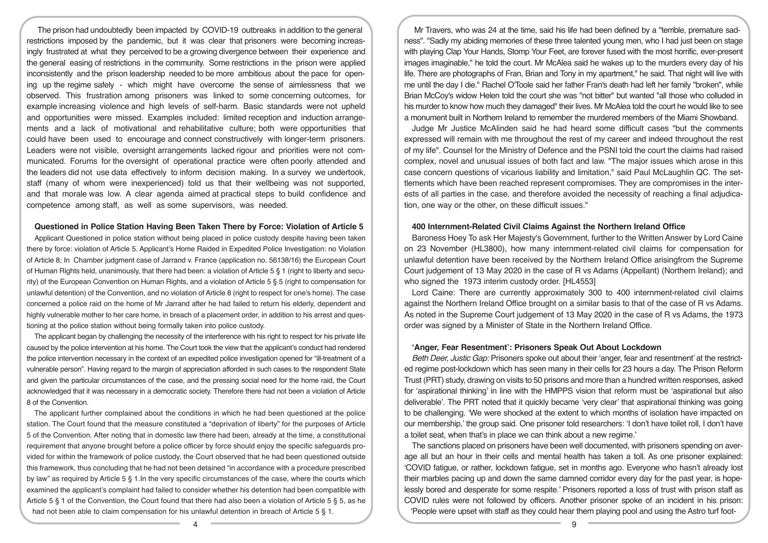The prison had undoubtedly been impacted by COVID-19 outbreaks in addition to the general restrictions imposed by the pandemic, but it was clear that prisoners were becoming increasingly frustrated at what they perceived to be a growing divergence between their experience and the general easing of restrictions in the community. Some restrictions in the prison were applied inconsistently and the prison leadership needed to be more ambitious about the pace for opening up the regime safely - which might have overcome the sense of aimlessness that we observed. This frustration among prisoners was linked to some concerning outcomes, for example increasing violence and high levels of self-harm. Basic standards were not upheld and opportunities were missed. Examples included: limited reception and induction arrangements and a lack of motivational and rehabilitative culture; both were opportunities that could have been used to encourage and connect constructively with longer-term prisoners. Leaders were not visible, oversight arrangements lacked rigour and priorities were not communicated. Forums for the oversight of operational practice were often poorly attended and the leaders did not use data effectively to inform decision making. In a survey we undertook, staff (many of whom were inexperienced) told us that their wellbeing was not supported, and that morale was low. A clear agenda aimed at practical steps to build confidence and competence among staff, as well as some supervisors, was needed.

#### **Questioned in Police Station Having Been Taken There by Force: Violation of Article 5**

Applicant Questioned in police station without being placed in police custody despite having been taken there by force: violation of Article 5. Applicant's Home Raided in Expedited Police Investigation: no Violation of Article 8; In Chamber judgment case of Jarrand v. France (application no. 56138/16) the European Court of Human Rights held, unanimously, that there had been: a violation of Article 5 § 1 (right to liberty and security) of the European Convention on Human Rights, and a violation of Article 5 § 5 (right to compensation for unlawful detention) of the Convention, and no violation of Article 8 (right to respect for one's home). The case concerned a police raid on the home of Mr Jarrand after he had failed to return his elderly, dependent and highly vulnerable mother to her care home, in breach of a placement order, in addition to his arrest and questioning at the police station without being formally taken into police custody.

The applicant began by challenging the necessity of the interference with his right to respect for his private life caused by the police intervention at his home. The Court took the view that the applicant's conduct had rendered the police intervention necessary in the context of an expedited police investigation opened for "ill-treatment of a vulnerable person". Having regard to the margin of appreciation afforded in such cases to the respondent State and given the particular circumstances of the case, and the pressing social need for the home raid, the Court acknowledged that it was necessary in a democratic society. Therefore there had not been a violation of Article 8 of the Convention.

The applicant further complained about the conditions in which he had been questioned at the police station. The Court found that the measure constituted a "deprivation of liberty" for the purposes of Article 5 of the Convention. After noting that in domestic law there had been, already at the time, a constitutional requirement that anyone brought before a police officer by force should enjoy the specific safeguards provided for within the framework of police custody, the Court observed that he had been questioned outside this framework, thus concluding that he had not been detained "in accordance with a procedure prescribed by law" as required by Article 5 § 1.In the very specific circumstances of the case, where the courts which examined the applicant's complaint had failed to consider whether his detention had been compatible with Article 5 § 1 of the Convention, the Court found that there had also been a violation of Article 5 § 5, as he had not been able to claim compensation for his unlawful detention in breach of Article 5 § 1.

Mr Travers, who was 24 at the time, said his life had been defined by a "terrible, premature sadness". "Sadly my abiding memories of these three talented young men, who I had just been on stage with playing Clap Your Hands, Stomp Your Feet, are forever fused with the most horrific, ever-present images imaginable," he told the court. Mr McAlea said he wakes up to the murders every day of his life. There are photographs of Fran, Brian and Tony in my apartment," he said. That night will live with me until the day I die." Rachel O'Toole said her father Fran's death had left her family "broken", while Brian McCoy's widow Helen told the court she was "not bitter" but wanted "all those who colluded in his murder to know how much they damaged" their lives. Mr McAlea told the court he would like to see a monument built in Northern Ireland to remember the murdered members of the Miami Showband.

Judge Mr Justice McAlinden said he had heard some difficult cases "but the comments expressed will remain with me throughout the rest of my career and indeed throughout the rest of my life". Counsel for the Ministry of Defence and the PSNI told the court the claims had raised complex, novel and unusual issues of both fact and law. "The major issues which arose in this case concern questions of vicarious liability and limitation," said Paul McLaughlin QC. The settlements which have been reached represent compromises. They are compromises in the interests of all parties in the case, and therefore avoided the necessity of reaching a final adjudication, one way or the other, on these difficult issues."

#### **400 Internment-Related Civil Claims Against the Northern Ireland Office**

Baroness Hoey To ask Her Majesty's Government, further to the Written Answer by Lord Caine on 23 November (HL3800), how many internment-related civil claims for compensation for unlawful detention have been received by the Northern Ireland Office arisingfrom the Supreme Court judgement of 13 May 2020 in the case of R vs Adams (Appellant) (Northern Ireland); and who signed the 1973 interim custody order. [HL4553]

Lord Caine: There are currently approximately 300 to 400 internment-related civil claims against the Northern Ireland Office brought on a similar basis to that of the case of R vs Adams. As noted in the Supreme Court judgement of 13 May 2020 in the case of R vs Adams, the 1973 order was signed by a Minister of State in the Northern Ireland Office.

### **'Anger, Fear Resentment': Prisoners Speak Out About Lockdown**

*Beth Deer, Justic Gap:* Prisoners spoke out about their 'anger, fear and resentment' at the restricted regime post-lockdown which has seen many in their cells for 23 hours a day. The Prison Reform Trust (PRT) study, drawing on visits to 50 prisons and more than a hundred written responses, asked for 'aspirational thinking' in line with the HMPPS vision that reform must be 'aspirational but also deliverable'. The PRT noted that it quickly became 'very clear' that aspirational thinking was going to be challenging. 'We were shocked at the extent to which months of isolation have impacted on our membership,' the group said. One prisoner told researchers: 'I don't have toilet roll, I don't have a toilet seat, when that's in place we can think about a new regime.'

The sanctions placed on prisoners have been well documented, with prisoners spending on average all but an hour in their cells and mental health has taken a toll. As one prisoner explained: 'COVID fatigue, or rather, lockdown fatigue, set in months ago. Everyone who hasn't already lost their marbles pacing up and down the same damned corridor every day for the past year, is hopelessly bored and desperate for some respite.' Prisoners reported a loss of trust with prison staff as COVID rules were not followed by officers. Another prisoner spoke of an incident in his prison: 'People were upset with staff as they could hear them playing pool and using the Astro turf foot-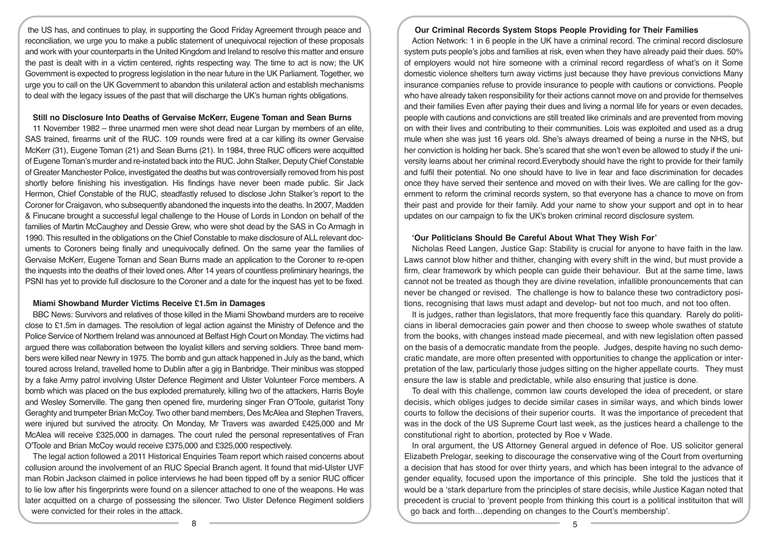the US has, and continues to play, in supporting the Good Friday Agreement through peace and reconciliation, we urge you to make a public statement of unequivocal rejection of these proposals and work with your counterparts in the United Kingdom and Ireland to resolve this matter and ensure the past is dealt with in a victim centered, rights respecting way. The time to act is now; the UK Government is expected to progress legislation in the near future in the UK Parliament. Together, we urge you to call on the UK Government to abandon this unilateral action and establish mechanisms to deal with the legacy issues of the past that will discharge the UK's human rights obligations.

## **Still no Disclosure Into Deaths of Gervaise McKerr, Eugene Toman and Sean Burns**

11 November 1982 – three unarmed men were shot dead near Lurgan by members of an elite, SAS trained, firearms unit of the RUC. 109 rounds were fired at a car killing its owner Gervaise McKerr (31), Eugene Toman (21) and Sean Burns (21). In 1984, three RUC officers were acquitted of Eugene Toman's murder and re-instated back into the RUC. John Stalker, Deputy Chief Constable of Greater Manchester Police, investigated the deaths but was controversially removed from his post shortly before finishing his investigation. His findings have never been made public. Sir Jack Hermon, Chief Constable of the RUC, steadfastly refused to disclose John Stalker's report to the Coroner for Craigavon, who subsequently abandoned the inquests into the deaths. In 2007, Madden & Finucane brought a successful legal challenge to the House of Lords in London on behalf of the families of Martin McCaughey and Dessie Grew, who were shot dead by the SAS in Co Armagh in 1990. This resulted in the obligations on the Chief Constable to make disclosure of ALL relevant documents to Coroners being finally and unequivocally defined. On the same year the families of Gervaise McKerr, Eugene Toman and Sean Burns made an application to the Coroner to re-open the inquests into the deaths of their loved ones. After 14 years of countless preliminary hearings, the PSNI has yet to provide full disclosure to the Coroner and a date for the inquest has yet to be fixed.

## **Miami Showband Murder Victims Receive £1.5m in Damages**

BBC News: Survivors and relatives of those killed in the Miami Showband murders are to receive close to £1.5m in damages. The resolution of legal action against the Ministry of Defence and the Police Service of Northern Ireland was announced at Belfast High Court on Monday. The victims had argued there was collaboration between the loyalist killers and serving soldiers. Three band members were killed near Newry in 1975. The bomb and gun attack happened in July as the band, which toured across Ireland, travelled home to Dublin after a gig in Banbridge. Their minibus was stopped by a fake Army patrol involving Ulster Defence Regiment and Ulster Volunteer Force members. A bomb which was placed on the bus exploded prematurely, killing two of the attackers, Harris Boyle and Wesley Somerville. The gang then opened fire, murdering singer Fran O'Toole, guitarist Tony Geraghty and trumpeter Brian McCoy. Two other band members, Des McAlea and Stephen Travers, were injured but survived the atrocity. On Monday, Mr Travers was awarded £425,000 and Mr McAlea will receive £325,000 in damages. The court ruled the personal representatives of Fran O'Toole and Brian McCoy would receive £375,000 and £325,000 respectively.

The legal action followed a 2011 Historical Enquiries Team report which raised concerns about collusion around the involvement of an RUC Special Branch agent. It found that mid-Ulster UVF man Robin Jackson claimed in police interviews he had been tipped off by a senior RUC officer to lie low after his fingerprints were found on a silencer attached to one of the weapons. He was later acquitted on a charge of possessing the silencer. Two Ulster Defence Regiment soldiers were convicted for their roles in the attack.

## **Our Criminal Records System Stops People Providing for Their Families**

Action Network: 1 in 6 people in the UK have a criminal record. The criminal record disclosure system puts people's jobs and families at risk, even when they have already paid their dues. 50% of employers would not hire someone with a criminal record regardless of what's on it Some domestic violence shelters turn away victims just because they have previous convictions Many insurance companies refuse to provide insurance to people with cautions or convictions. People who have already taken responsibility for their actions cannot move on and provide for themselves and their families Even after paying their dues and living a normal life for years or even decades, people with cautions and convictions are still treated like criminals and are prevented from moving on with their lives and contributing to their communities. Lois was exploited and used as a drug mule when she was just 16 years old. She's always dreamed of being a nurse in the NHS, but her conviction is holding her back. She's scared that she won't even be allowed to study if the university learns about her criminal record.Everybody should have the right to provide for their family and fulfil their potential. No one should have to live in fear and face discrimination for decades once they have served their sentence and moved on with their lives. We are calling for the government to reform the criminal records system, so that everyone has a chance to move on from their past and provide for their family. Add your name to show your support and opt in to hear updates on our campaign to fix the UK's broken criminal record disclosure system.

## **'Our Politicians Should Be Careful About What They Wish For'**

Nicholas Reed Langen, Justice Gap: Stability is crucial for anyone to have faith in the law. Laws cannot blow hither and thither, changing with every shift in the wind, but must provide a firm, clear framework by which people can guide their behaviour. But at the same time, laws cannot not be treated as though they are divine revelation, infallible pronouncements that can never be changed or revised. The challenge is how to balance these two contradictory positions, recognising that laws must adapt and develop- but not too much, and not too often.

It is judges, rather than legislators, that more frequently face this quandary. Rarely do politicians in liberal democracies gain power and then choose to sweep whole swathes of statute from the books, with changes instead made piecemeal, and with new legislation often passed on the basis of a democratic mandate from the people. Judges, despite having no such democratic mandate, are more often presented with opportunities to change the application or interpretation of the law, particularly those judges sitting on the higher appellate courts. They must ensure the law is stable and predictable, while also ensuring that justice is done.

To deal with this challenge, common law courts developed the idea of precedent, or stare decisis, which obliges judges to decide similar cases in similar ways, and which binds lower courts to follow the decisions of their superior courts. It was the importance of precedent that was in the dock of the US Supreme Court last week, as the justices heard a challenge to the constitutional right to abortion, protected by Roe v Wade.

In oral argument, the US Attorney General argued in defence of Roe. US solicitor general Elizabeth Prelogar, seeking to discourage the conservative wing of the Court from overturning a decision that has stood for over thirty years, and which has been integral to the advance of gender equality, focused upon the importance of this principle. She told the justices that it would be a 'stark departure from the principles of stare decisis, while Justice Kagan noted that precedent is crucial to 'prevent people from thinking this court is a political instituiton that will go back and forth…depending on changes to the Court's membership'.